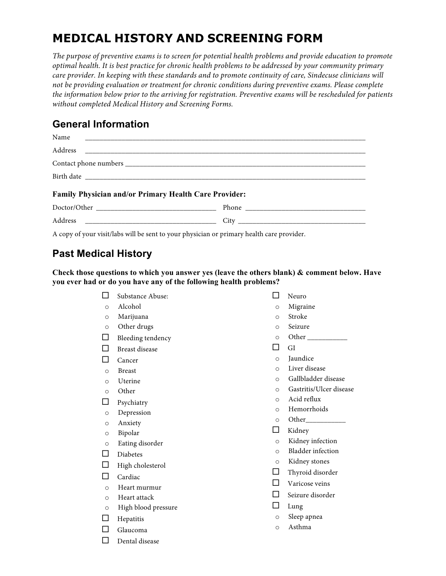# **MEDICAL HISTORY AND SCREENING FORM**

*The purpose of preventive exams is to screen for potential health problems and provide education to promote optimal health. It is best practice for chronic health problems to be addressed by your community primary care provider. In keeping with these standards and to promote continuity of care, Sindecuse clinicians will not be providing evaluation or treatment for chronic conditions during preventive exams. Please complete the information below prior to the arriving for registration. Preventive exams will be rescheduled for patients without completed Medical History and Screening Forms.*

# **General Information**

| Name                                                         |  |  |  |
|--------------------------------------------------------------|--|--|--|
|                                                              |  |  |  |
|                                                              |  |  |  |
|                                                              |  |  |  |
| <b>Family Physician and/or Primary Health Care Provider:</b> |  |  |  |
|                                                              |  |  |  |
|                                                              |  |  |  |

A copy of your visit/labs will be sent to your physician or primary health care provider.

# **Past Medical History**

**Check those questions to which you answer yes (leave the others blank) & comment below. Have you ever had or do you have any of the following health problems?**

- $\Box$  Substance Abuse: o Alcohol o Marijuana o Other drugs  $\Box$  Bleeding tendency  $\square$  Breast disease  $\square$  Cancer o Breast o Uterine o Other  $\Box$  Psychiatry o Depression o Anxiety o Bipolar o Eating disorder  $\square$  Diabetes  $\Box$  High cholesterol  $\Box$  Cardiac o Heart murmur o Heart attack o High blood pressure  $\Box$  Hepatitis  $\Box$  Glaucoma  $\square$  Dental disease  $\Box$  GI  $\Box$  Lung
	- $\square$  Neuro
	- o Migraine
	- o Stroke
	- o Seizure
	- o Other \_\_\_\_\_\_\_\_\_\_\_
	- o Jaundice
	- o Liver disease
	- o Gallbladder disease
	- o Gastritis/Ulcer disease
	- o Acid reflux
	- o Hemorrhoids
	- o Other\_\_\_\_\_\_\_\_\_\_\_
	- $\Box$  Kidney
	- o Kidney infection
	- o Bladder infection
	- o Kidney stones
	- $\Box$  Thyroid disorder
	- $\Box$  Varicose veins
	- $\Box$  Seizure disorder
	- o Sleep apnea
	- o Asthma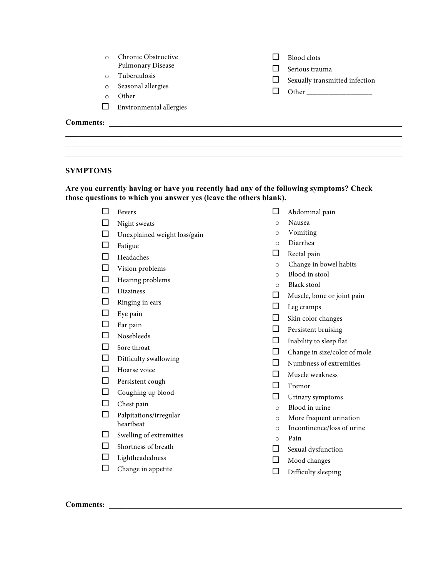|                  | Chronic Obstructive     |  | Blood clots                             |
|------------------|-------------------------|--|-----------------------------------------|
|                  | Pulmonary Disease       |  | Serious trauma                          |
| $\Omega$         | Tuberculosis            |  | Sexually transmitted infection<br>Other |
| $\circ$          | Seasonal allergies      |  |                                         |
| $\Omega$         | Other                   |  |                                         |
|                  | Environmental allergies |  |                                         |
| <b>Comments:</b> |                         |  |                                         |
|                  |                         |  |                                         |

 $\mathcal{L}_\mathcal{L} = \{ \mathcal{L}_\mathcal{L} = \{ \mathcal{L}_\mathcal{L} = \{ \mathcal{L}_\mathcal{L} = \{ \mathcal{L}_\mathcal{L} = \{ \mathcal{L}_\mathcal{L} = \{ \mathcal{L}_\mathcal{L} = \{ \mathcal{L}_\mathcal{L} = \{ \mathcal{L}_\mathcal{L} = \{ \mathcal{L}_\mathcal{L} = \{ \mathcal{L}_\mathcal{L} = \{ \mathcal{L}_\mathcal{L} = \{ \mathcal{L}_\mathcal{L} = \{ \mathcal{L}_\mathcal{L} = \{ \mathcal{L}_\mathcal{$  $\mathcal{L}_\mathcal{L} = \{ \mathcal{L}_\mathcal{L} = \{ \mathcal{L}_\mathcal{L} = \{ \mathcal{L}_\mathcal{L} = \{ \mathcal{L}_\mathcal{L} = \{ \mathcal{L}_\mathcal{L} = \{ \mathcal{L}_\mathcal{L} = \{ \mathcal{L}_\mathcal{L} = \{ \mathcal{L}_\mathcal{L} = \{ \mathcal{L}_\mathcal{L} = \{ \mathcal{L}_\mathcal{L} = \{ \mathcal{L}_\mathcal{L} = \{ \mathcal{L}_\mathcal{L} = \{ \mathcal{L}_\mathcal{L} = \{ \mathcal{L}_\mathcal{$ 

#### **SYMPTOMS**

**Are you currently having or have you recently had any of the following symptoms? Check those questions to which you answer yes (leave the others blank).**

- $\square$  Fevers
- $\Box$  Night sweats
- $\hfill\Box\quad$  Unexplained weight loss/gain
- $\square$  Fatigue
- $\square$  Headaches
- $\Box$  Vision problems
- $\Box$  Hearing problems
- $\square$  Dizziness
- $\hfill \square$  <br> Ringing in ears
- $\square$  Eye pain
- $\square$  Ear pain
- $\square$  Nosebleeds
- $\hfill\Box\quad$  Sore throat
- $\Box$  Difficulty swallowing
- $\Box$  Hoarse voice
- $\square$  Persistent cough
- $\Box$  Coughing up blood
- $\Box$  Chest pain
- $\Box$  Palpitations/irregular heartbeat
- $\Box$  Swelling of extremities
- $\Box$  Shortness of breath
- $\qquad \qquad \Box$  Lightheadedness
- $\qquad \qquad \Box \quad$  Change in appetite
- $\Box$  Abdominal pain
- o Nausea
- o Vomiting
- o Diarrhea
- $\Box$  Rectal pain
- o Change in bowel habits
- o Blood in stool
- o Black stool
- $\Box$  Muscle, bone or joint pain
- $\Box$  Leg cramps
- $\Box$  Skin color changes
- $\Box$  Persistent bruising
- $\Box$  Inability to sleep flat
- $\Box$  Change in size/color of mole
- $\Box$  Numbness of extremities
- $\Box$  Muscle weakness
- $\Box$  Tremor
- $\Box$  Urinary symptoms
- o Blood in urine
- o More frequent urination
- o Incontinence/loss of urine
- o Pain

 $\mathcal{L}_\mathcal{L} = \{ \mathcal{L}_\mathcal{L} = \{ \mathcal{L}_\mathcal{L} = \{ \mathcal{L}_\mathcal{L} = \{ \mathcal{L}_\mathcal{L} = \{ \mathcal{L}_\mathcal{L} = \{ \mathcal{L}_\mathcal{L} = \{ \mathcal{L}_\mathcal{L} = \{ \mathcal{L}_\mathcal{L} = \{ \mathcal{L}_\mathcal{L} = \{ \mathcal{L}_\mathcal{L} = \{ \mathcal{L}_\mathcal{L} = \{ \mathcal{L}_\mathcal{L} = \{ \mathcal{L}_\mathcal{L} = \{ \mathcal{L}_\mathcal{$ 

- $\Box$  Sexual dysfunction
- $\Box$  Mood changes
- $\Box$  Difficulty sleeping

### **Comments:** \_\_\_\_\_\_\_\_\_\_\_\_\_\_\_\_\_\_\_\_\_\_\_\_\_\_\_\_\_\_\_\_\_\_\_\_\_\_\_\_\_\_\_\_\_\_\_\_\_\_\_\_\_\_\_\_\_\_\_\_\_\_\_\_\_\_\_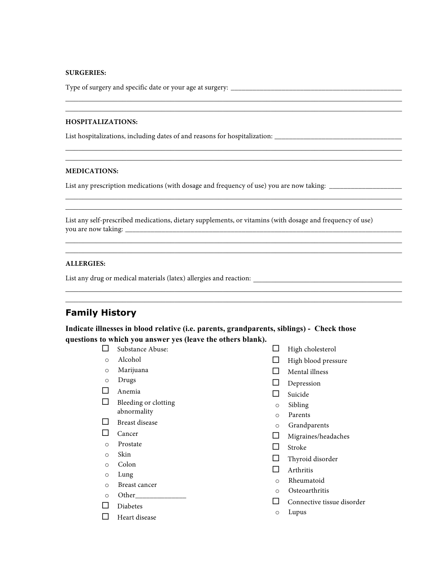#### **SURGERIES:**

Type of surgery and specific date or your age at surgery: \_\_\_\_\_\_\_\_\_\_\_\_\_\_\_\_\_\_\_\_\_\_\_\_\_\_\_\_\_\_\_\_\_\_\_\_\_\_\_\_\_\_\_\_\_\_\_

#### **HOSPITALIZATIONS:**

List hospitalizations, including dates of and reasons for hospitalization: \_\_\_\_\_\_\_\_\_\_\_\_\_\_\_\_\_\_\_\_\_\_\_\_\_\_\_\_\_\_\_\_\_\_\_

#### **MEDICATIONS:**

List any prescription medications (with dosage and frequency of use) you are now taking:

List any self-prescribed medications, dietary supplements, or vitamins (with dosage and frequency of use) you are now taking: \_\_\_\_\_\_\_\_\_\_\_\_\_\_\_\_\_\_\_\_\_\_\_\_\_\_\_\_\_\_\_\_\_\_\_\_\_\_\_\_\_\_\_\_\_\_\_\_\_\_\_\_\_\_\_\_\_\_\_\_\_\_\_\_\_\_\_\_\_\_\_\_\_\_\_\_

 $\mathcal{L}_\mathcal{L} = \{ \mathcal{L}_\mathcal{L} = \{ \mathcal{L}_\mathcal{L} = \{ \mathcal{L}_\mathcal{L} = \{ \mathcal{L}_\mathcal{L} = \{ \mathcal{L}_\mathcal{L} = \{ \mathcal{L}_\mathcal{L} = \{ \mathcal{L}_\mathcal{L} = \{ \mathcal{L}_\mathcal{L} = \{ \mathcal{L}_\mathcal{L} = \{ \mathcal{L}_\mathcal{L} = \{ \mathcal{L}_\mathcal{L} = \{ \mathcal{L}_\mathcal{L} = \{ \mathcal{L}_\mathcal{L} = \{ \mathcal{L}_\mathcal{$  $\mathcal{L}_\mathcal{L} = \{ \mathcal{L}_\mathcal{L} = \{ \mathcal{L}_\mathcal{L} = \{ \mathcal{L}_\mathcal{L} = \{ \mathcal{L}_\mathcal{L} = \{ \mathcal{L}_\mathcal{L} = \{ \mathcal{L}_\mathcal{L} = \{ \mathcal{L}_\mathcal{L} = \{ \mathcal{L}_\mathcal{L} = \{ \mathcal{L}_\mathcal{L} = \{ \mathcal{L}_\mathcal{L} = \{ \mathcal{L}_\mathcal{L} = \{ \mathcal{L}_\mathcal{L} = \{ \mathcal{L}_\mathcal{L} = \{ \mathcal{L}_\mathcal{$ 

 $\mathcal{L}_\mathcal{L} = \{ \mathcal{L}_\mathcal{L} = \{ \mathcal{L}_\mathcal{L} = \{ \mathcal{L}_\mathcal{L} = \{ \mathcal{L}_\mathcal{L} = \{ \mathcal{L}_\mathcal{L} = \{ \mathcal{L}_\mathcal{L} = \{ \mathcal{L}_\mathcal{L} = \{ \mathcal{L}_\mathcal{L} = \{ \mathcal{L}_\mathcal{L} = \{ \mathcal{L}_\mathcal{L} = \{ \mathcal{L}_\mathcal{L} = \{ \mathcal{L}_\mathcal{L} = \{ \mathcal{L}_\mathcal{L} = \{ \mathcal{L}_\mathcal{$  $\mathcal{L}_\mathcal{L} = \{ \mathcal{L}_\mathcal{L} = \{ \mathcal{L}_\mathcal{L} = \{ \mathcal{L}_\mathcal{L} = \{ \mathcal{L}_\mathcal{L} = \{ \mathcal{L}_\mathcal{L} = \{ \mathcal{L}_\mathcal{L} = \{ \mathcal{L}_\mathcal{L} = \{ \mathcal{L}_\mathcal{L} = \{ \mathcal{L}_\mathcal{L} = \{ \mathcal{L}_\mathcal{L} = \{ \mathcal{L}_\mathcal{L} = \{ \mathcal{L}_\mathcal{L} = \{ \mathcal{L}_\mathcal{L} = \{ \mathcal{L}_\mathcal{$ 

 $\mathcal{L}_\mathcal{L} = \{ \mathcal{L}_\mathcal{L} = \{ \mathcal{L}_\mathcal{L} = \{ \mathcal{L}_\mathcal{L} = \{ \mathcal{L}_\mathcal{L} = \{ \mathcal{L}_\mathcal{L} = \{ \mathcal{L}_\mathcal{L} = \{ \mathcal{L}_\mathcal{L} = \{ \mathcal{L}_\mathcal{L} = \{ \mathcal{L}_\mathcal{L} = \{ \mathcal{L}_\mathcal{L} = \{ \mathcal{L}_\mathcal{L} = \{ \mathcal{L}_\mathcal{L} = \{ \mathcal{L}_\mathcal{L} = \{ \mathcal{L}_\mathcal{$  $\mathcal{L}_\mathcal{L} = \{ \mathcal{L}_\mathcal{L} = \{ \mathcal{L}_\mathcal{L} = \{ \mathcal{L}_\mathcal{L} = \{ \mathcal{L}_\mathcal{L} = \{ \mathcal{L}_\mathcal{L} = \{ \mathcal{L}_\mathcal{L} = \{ \mathcal{L}_\mathcal{L} = \{ \mathcal{L}_\mathcal{L} = \{ \mathcal{L}_\mathcal{L} = \{ \mathcal{L}_\mathcal{L} = \{ \mathcal{L}_\mathcal{L} = \{ \mathcal{L}_\mathcal{L} = \{ \mathcal{L}_\mathcal{L} = \{ \mathcal{L}_\mathcal{$ 

 $\mathcal{L}_\mathcal{L} = \{ \mathcal{L}_\mathcal{L} = \{ \mathcal{L}_\mathcal{L} = \{ \mathcal{L}_\mathcal{L} = \{ \mathcal{L}_\mathcal{L} = \{ \mathcal{L}_\mathcal{L} = \{ \mathcal{L}_\mathcal{L} = \{ \mathcal{L}_\mathcal{L} = \{ \mathcal{L}_\mathcal{L} = \{ \mathcal{L}_\mathcal{L} = \{ \mathcal{L}_\mathcal{L} = \{ \mathcal{L}_\mathcal{L} = \{ \mathcal{L}_\mathcal{L} = \{ \mathcal{L}_\mathcal{L} = \{ \mathcal{L}_\mathcal{$  $\mathcal{L}_\mathcal{L} = \{ \mathcal{L}_\mathcal{L} = \{ \mathcal{L}_\mathcal{L} = \{ \mathcal{L}_\mathcal{L} = \{ \mathcal{L}_\mathcal{L} = \{ \mathcal{L}_\mathcal{L} = \{ \mathcal{L}_\mathcal{L} = \{ \mathcal{L}_\mathcal{L} = \{ \mathcal{L}_\mathcal{L} = \{ \mathcal{L}_\mathcal{L} = \{ \mathcal{L}_\mathcal{L} = \{ \mathcal{L}_\mathcal{L} = \{ \mathcal{L}_\mathcal{L} = \{ \mathcal{L}_\mathcal{L} = \{ \mathcal{L}_\mathcal{$ 

 $\mathcal{L}_\mathcal{L} = \{ \mathcal{L}_\mathcal{L} = \{ \mathcal{L}_\mathcal{L} = \{ \mathcal{L}_\mathcal{L} = \{ \mathcal{L}_\mathcal{L} = \{ \mathcal{L}_\mathcal{L} = \{ \mathcal{L}_\mathcal{L} = \{ \mathcal{L}_\mathcal{L} = \{ \mathcal{L}_\mathcal{L} = \{ \mathcal{L}_\mathcal{L} = \{ \mathcal{L}_\mathcal{L} = \{ \mathcal{L}_\mathcal{L} = \{ \mathcal{L}_\mathcal{L} = \{ \mathcal{L}_\mathcal{L} = \{ \mathcal{L}_\mathcal{$  $\mathcal{L}_\mathcal{L} = \{ \mathcal{L}_\mathcal{L} = \{ \mathcal{L}_\mathcal{L} = \{ \mathcal{L}_\mathcal{L} = \{ \mathcal{L}_\mathcal{L} = \{ \mathcal{L}_\mathcal{L} = \{ \mathcal{L}_\mathcal{L} = \{ \mathcal{L}_\mathcal{L} = \{ \mathcal{L}_\mathcal{L} = \{ \mathcal{L}_\mathcal{L} = \{ \mathcal{L}_\mathcal{L} = \{ \mathcal{L}_\mathcal{L} = \{ \mathcal{L}_\mathcal{L} = \{ \mathcal{L}_\mathcal{L} = \{ \mathcal{L}_\mathcal{$ 

#### **ALLERGIES:**

List any drug or medical materials (latex) allergies and reaction: \_\_\_\_\_\_\_\_\_\_\_\_\_\_\_\_\_\_\_\_\_\_\_\_\_\_\_\_\_\_\_\_\_\_

### **Family History**

**Indicate illnesses in blood relative (i.e. parents, grandparents, siblings) - Check those questions to which you answer yes (leave the others blank).**

- $\Box$  Substance Abuse:
- o Alcohol
- o Marijuana
- o Drugs
- $\Box$  Anemia
- $\Box$  Bleeding or clotting abnormality
- $\square$  Breast disease
- $\square$  Cancer
- o Prostate
- o Skin
- o Colon
- o Lung
- o Breast cancer
- o Other\_\_\_\_\_
- $\Box$  Diabetes
- $\Box$  Heart disease
- $\Box$  High cholesterol
- $\Box$  High blood pressure
- $\Box$  Mental illness
- $\square$  Depression
- $\square$  Suicide
- o Sibling
- o Parents
- 
- o Grandparents
- $\Box$  Migraines/headaches
- $\square$  Stroke
- $\Box$  Thyroid disorder
- $\Box$  Arthritis
- o Rheumatoid
- o Osteoarthritis
- $\Box$  Connective tissue disorder
- o Lupus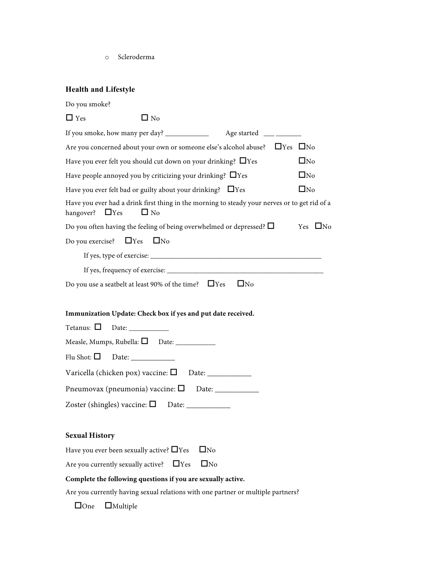o Scleroderma

## **Health and Lifestyle**

| Do you smoke?                                                                                                                      |  |  |  |  |
|------------------------------------------------------------------------------------------------------------------------------------|--|--|--|--|
| $\Box$ No<br>$\Box$ Yes                                                                                                            |  |  |  |  |
|                                                                                                                                    |  |  |  |  |
|                                                                                                                                    |  |  |  |  |
| $\square$ No<br>Have you ever felt you should cut down on your drinking? $\Box$ Yes                                                |  |  |  |  |
| Have people annoyed you by criticizing your drinking? $\Box$ Yes<br>$\Box$ No                                                      |  |  |  |  |
| $\Box$ No<br>Have you ever felt bad or guilty about your drinking? $\Box$ Yes                                                      |  |  |  |  |
| Have you ever had a drink first thing in the morning to steady your nerves or to get rid of a<br>hangover? $\Box$ Yes<br>$\Box$ No |  |  |  |  |
| Do you often having the feeling of being overwhelmed or depressed? $\Box$<br>Yes $\square$ No                                      |  |  |  |  |
| $\Box$ Yes<br>$\Box$ No<br>Do you exercise?                                                                                        |  |  |  |  |
|                                                                                                                                    |  |  |  |  |
|                                                                                                                                    |  |  |  |  |
| $\Box$ No<br>Do you use a seatbelt at least 90% of the time? $\Box$ Yes                                                            |  |  |  |  |
|                                                                                                                                    |  |  |  |  |
| Immunization Update: Check box if yes and put date received.                                                                       |  |  |  |  |
| Tetanus: $\square$                                                                                                                 |  |  |  |  |
|                                                                                                                                    |  |  |  |  |
|                                                                                                                                    |  |  |  |  |
|                                                                                                                                    |  |  |  |  |
|                                                                                                                                    |  |  |  |  |
|                                                                                                                                    |  |  |  |  |
|                                                                                                                                    |  |  |  |  |
| <b>Sexual History</b>                                                                                                              |  |  |  |  |
| Have you ever been sexually active? $\Box$ Yes<br>$\square$ No                                                                     |  |  |  |  |
| $\Box$ No<br>Are you currently sexually active?<br>$\Box$ Yes                                                                      |  |  |  |  |
| Complete the following questions if you are sexually active.                                                                       |  |  |  |  |
| Are you currently having sexual relations with one partner or multiple partners?                                                   |  |  |  |  |
| $\Box$ One<br>$\Box$ Multiple                                                                                                      |  |  |  |  |